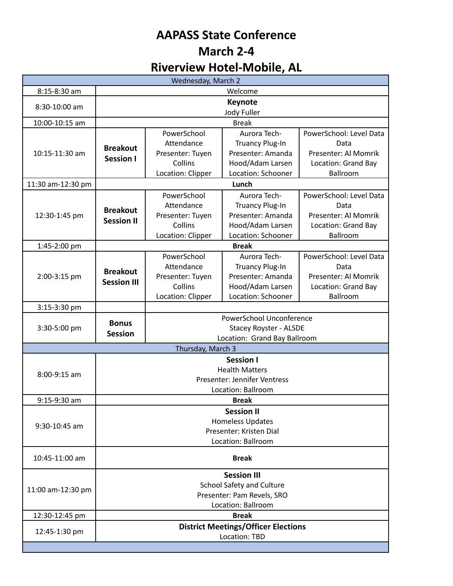## **AAPASS State Conference March 2-4 Riverview Hotel-Mobile, AL**

| Wednesday, March 2 |                                                |                             |                                        |                                 |  |
|--------------------|------------------------------------------------|-----------------------------|----------------------------------------|---------------------------------|--|
| 8:15-8:30 am       | Welcome                                        |                             |                                        |                                 |  |
| 8:30-10:00 am      | <b>Keynote</b>                                 |                             |                                        |                                 |  |
|                    | Jody Fuller                                    |                             |                                        |                                 |  |
| 10:00-10:15 am     | <b>Break</b>                                   |                             |                                        |                                 |  |
| 10:15-11:30 am     |                                                | PowerSchool                 | Aurora Tech-                           | PowerSchool: Level Data         |  |
|                    | <b>Breakout</b><br><b>Session I</b>            | Attendance                  | <b>Truancy Plug-In</b>                 | Data                            |  |
|                    |                                                | Presenter: Tuyen            | Presenter: Amanda                      | Presenter: Al Momrik            |  |
|                    |                                                | Collins                     | Hood/Adam Larsen<br>Location: Schooner | Location: Grand Bay<br>Ballroom |  |
|                    |                                                | Location: Clipper           |                                        |                                 |  |
| 11:30 am-12:30 pm  |                                                |                             | Lunch                                  |                                 |  |
| 12:30-1:45 pm      |                                                | PowerSchool                 | Aurora Tech-                           | PowerSchool: Level Data         |  |
|                    | <b>Breakout</b>                                | Attendance                  | <b>Truancy Plug-In</b>                 | Data                            |  |
|                    | <b>Session II</b>                              | Presenter: Tuyen<br>Collins | Presenter: Amanda<br>Hood/Adam Larsen  | Presenter: Al Momrik            |  |
|                    |                                                |                             | Location: Schooner                     | Location: Grand Bay<br>Ballroom |  |
| 1:45-2:00 pm       | Location: Clipper<br><b>Break</b>              |                             |                                        |                                 |  |
|                    |                                                | PowerSchool                 | Aurora Tech-                           | PowerSchool: Level Data         |  |
| 2:00-3:15 pm       |                                                | Attendance                  | <b>Truancy Plug-In</b>                 | Data                            |  |
|                    | <b>Breakout</b>                                | Presenter: Tuyen            | Presenter: Amanda                      | Presenter: Al Momrik            |  |
|                    | <b>Session III</b>                             | Collins                     | Hood/Adam Larsen                       | Location: Grand Bay             |  |
|                    |                                                | Location: Clipper           | Location: Schooner                     | Ballroom                        |  |
| 3:15-3:30 pm       |                                                |                             |                                        |                                 |  |
| 3:30-5:00 pm       | PowerSchool Unconference                       |                             |                                        |                                 |  |
|                    | <b>Bonus</b><br><b>Stacey Royster - ALSDE</b>  |                             |                                        |                                 |  |
|                    | <b>Session</b><br>Location: Grand Bay Ballroom |                             |                                        |                                 |  |
|                    |                                                | Thursday, March 3           |                                        |                                 |  |
| 8:00-9:15 am       | Session I                                      |                             |                                        |                                 |  |
|                    | <b>Health Matters</b>                          |                             |                                        |                                 |  |
|                    | Presenter: Jennifer Ventress                   |                             |                                        |                                 |  |
|                    | Location: Ballroom                             |                             |                                        |                                 |  |
| 9:15-9:30 am       | <b>Break</b>                                   |                             |                                        |                                 |  |
| 9:30-10:45 am      | <b>Session II</b>                              |                             |                                        |                                 |  |
|                    | <b>Homeless Updates</b>                        |                             |                                        |                                 |  |
|                    | Presenter: Kristen Dial<br>Location: Ballroom  |                             |                                        |                                 |  |
|                    |                                                |                             |                                        |                                 |  |
| 10:45-11:00 am     | <b>Break</b>                                   |                             |                                        |                                 |  |
|                    | <b>Session III</b>                             |                             |                                        |                                 |  |
| 11:00 am-12:30 pm  | <b>School Safety and Culture</b>               |                             |                                        |                                 |  |
|                    | Presenter: Pam Revels, SRO                     |                             |                                        |                                 |  |
|                    | Location: Ballroom                             |                             |                                        |                                 |  |
| 12:30-12:45 pm     | <b>Break</b>                                   |                             |                                        |                                 |  |
| 12:45-1:30 pm      | <b>District Meetings/Officer Elections</b>     |                             |                                        |                                 |  |
|                    |                                                |                             | Location: TBD                          |                                 |  |